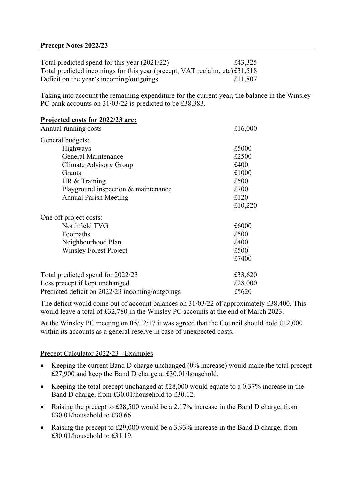## **Precept Notes 2022/23**

| Total predicted spend for this year (2021/22)                               | £43,325 |
|-----------------------------------------------------------------------------|---------|
| Total predicted incomings for this year (precept, VAT reclaim, etc) £31,518 |         |
| Deficit on the year's incoming/outgoings                                    | £11,807 |

Taking into account the remaining expenditure for the current year, the balance in the Winsley PC bank accounts on  $31/03/22$  is predicted to be £38,383.

| Projected costs for 2022/23 are:                |         |
|-------------------------------------------------|---------|
| Annual running costs                            | £16,000 |
| General budgets:                                |         |
| Highways                                        | £5000   |
| <b>General Maintenance</b>                      | £2500   |
| Climate Advisory Group                          | £400    |
| Grants                                          | £1000   |
| HR & Training                                   | £500    |
| Playground inspection & maintenance             | £700    |
| <b>Annual Parish Meeting</b>                    | £120    |
|                                                 | £10,220 |
| One off project costs:                          |         |
| Northfield TVG                                  | £6000   |
| Footpaths                                       | £500    |
| Neighbourhood Plan                              | £400    |
| <b>Winsley Forest Project</b>                   | £500    |
|                                                 | £7400   |
| Total predicted spend for 2022/23               | £33,620 |
| Less precept if kept unchanged                  | £28,000 |
| Predicted deficit on 2022/23 incoming/outgoings | £5620   |

The deficit would come out of account balances on 31/03/22 of approximately £38,400. This would leave a total of £32,780 in the Winsley PC accounts at the end of March 2023.

At the Winsley PC meeting on 05/12/17 it was agreed that the Council should hold £12,000 within its accounts as a general reserve in case of unexpected costs.

## Precept Calculator 2022/23 - Examples

- Keeping the current Band D charge unchanged (0% increase) would make the total precept £27,900 and keep the Band D charge at £30.01/household.
- Keeping the total precept unchanged at £28,000 would equate to a 0.37% increase in the Band D charge, from £30.01/household to £30.12.
- Raising the precept to £28,500 would be a 2.17% increase in the Band D charge, from £30.01/household to £30.66.
- Raising the precept to £29,000 would be a 3.93% increase in the Band D charge, from £30.01/household to £31.19.